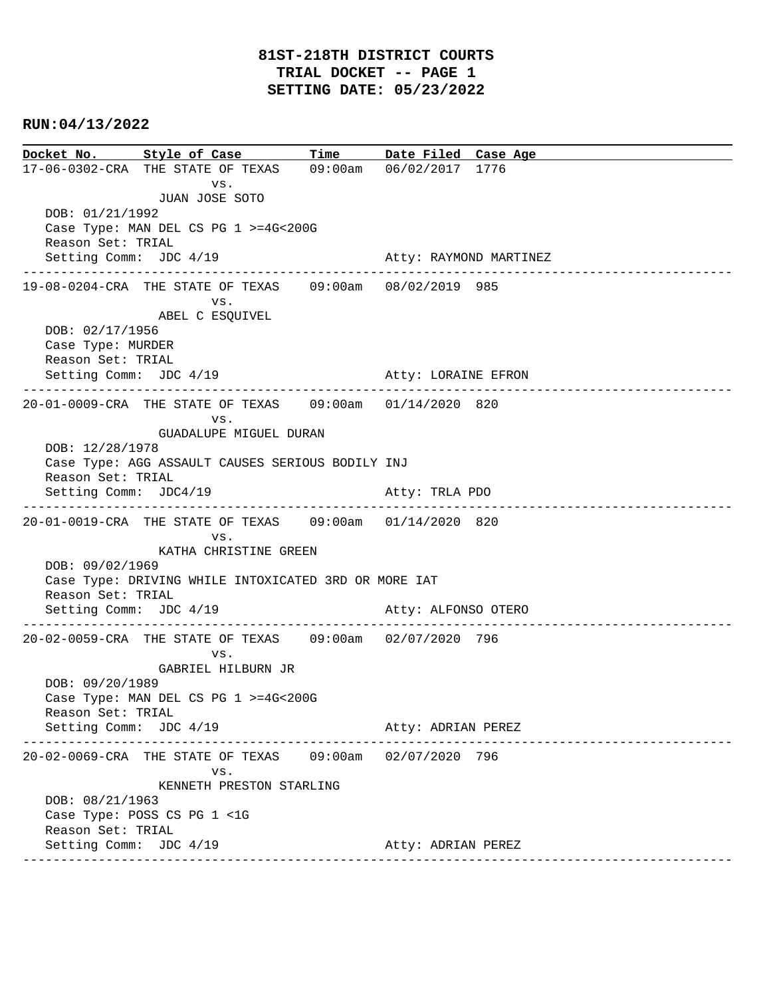```
Docket No. Style of Case Time Date Filed Case Age 
17-06-0302-CRA THE STATE OF TEXAS 09:00am 06/02/2017 1776 
 vs. 
                JUAN JOSE SOTO
   DOB: 01/21/1992 
   Case Type: MAN DEL CS PG 1 >=4G<200G 
   Reason Set: TRIAL 
  Setting Comm: JDC 4/19 Atty: RAYMOND MARTINEZ
  ----------------------------------------------------------------------------------------------
19-08-0204-CRA THE STATE OF TEXAS 09:00am 08/02/2019 985 
                      vs. 
                ABEL C ESQUIVEL
   DOB: 02/17/1956 
   Case Type: MURDER 
   Reason Set: TRIAL 
  Setting Comm: JDC 4/19 Atty: LORAINE EFRON
----------------------------------------------------------------------------------------------
20-01-0009-CRA THE STATE OF TEXAS 09:00am 01/14/2020 820 
 vs. 
                GUADALUPE MIGUEL DURAN
   DOB: 12/28/1978 
   Case Type: AGG ASSAULT CAUSES SERIOUS BODILY INJ 
   Reason Set: TRIAL 
  Setting Comm: JDC4/19 Atty: TRLA PDO
 ----------------------------------------------------------------------------------------------
20-01-0019-CRA THE STATE OF TEXAS 09:00am 01/14/2020 820 
 vs. 
                KATHA CHRISTINE GREEN
   DOB: 09/02/1969 
   Case Type: DRIVING WHILE INTOXICATED 3RD OR MORE IAT 
   Reason Set: TRIAL 
  Setting Comm: JDC 4/19 Atty: ALFONSO OTERO
  ----------------------------------------------------------------------------------------------
20-02-0059-CRA THE STATE OF TEXAS 09:00am 02/07/2020 796 
 vs. 
                GABRIEL HILBURN JR
   DOB: 09/20/1989 
   Case Type: MAN DEL CS PG 1 >=4G<200G 
   Reason Set: TRIAL 
  Setting Comm: JDC 4/19 Atty: ADRIAN PEREZ
  ----------------------------------------------------------------------------------------------
20-02-0069-CRA THE STATE OF TEXAS 09:00am 02/07/2020 796 
                      vs. 
                KENNETH PRESTON STARLING
   DOB: 08/21/1963 
   Case Type: POSS CS PG 1 <1G 
   Reason Set: TRIAL 
  Setting Comm: JDC 4/19 Atty: ADRIAN PEREZ
 ----------------------------------------------------------------------------------------------
```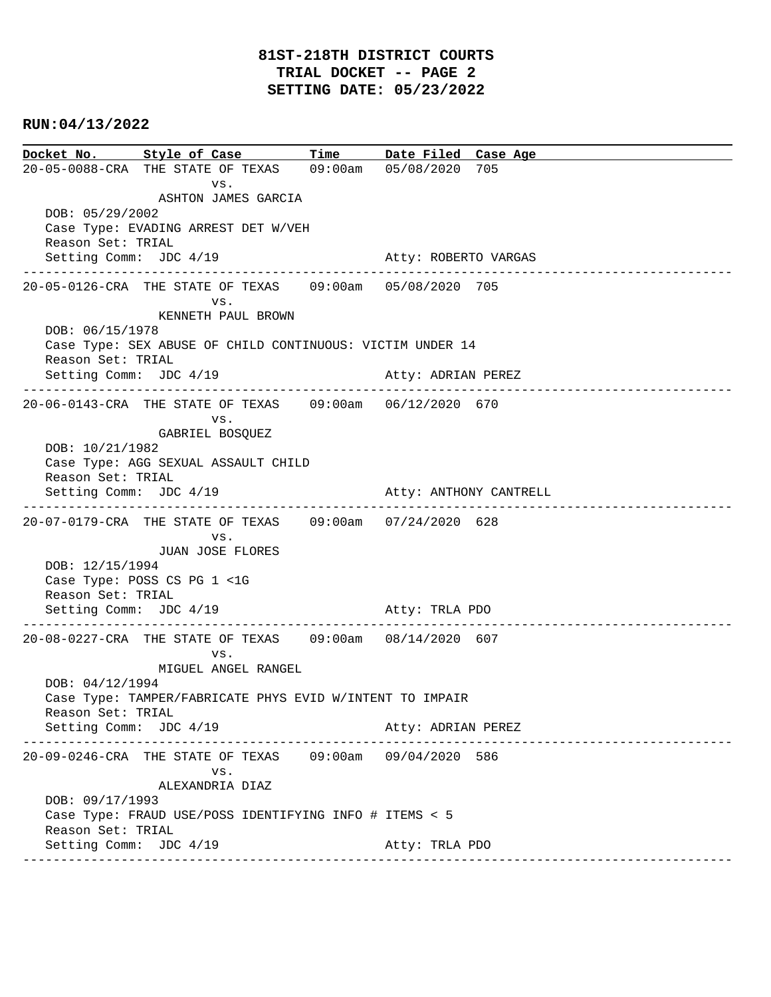**Docket No. Style of Case Time Date Filed Case Age**  20-05-0088-CRA THE STATE OF TEXAS 09:00am 05/08/2020 705 vs. ASHTON JAMES GARCIA DOB: 05/29/2002 Case Type: EVADING ARREST DET W/VEH Reason Set: TRIAL Setting Comm: JDC 4/19 Atty: ROBERTO VARGAS ---------------------------------------------------------------------------------------------- 20-05-0126-CRA THE STATE OF TEXAS 09:00am 05/08/2020 705 vs. KENNETH PAUL BROWN DOB: 06/15/1978 Case Type: SEX ABUSE OF CHILD CONTINUOUS: VICTIM UNDER 14 Reason Set: TRIAL Setting Comm: JDC 4/19 Atty: ADRIAN PEREZ ---------------------------------------------------------------------------------------------- 20-06-0143-CRA THE STATE OF TEXAS 09:00am 06/12/2020 670 vs. GABRIEL BOSQUEZ DOB: 10/21/1982 Case Type: AGG SEXUAL ASSAULT CHILD Reason Set: TRIAL Setting Comm: JDC 4/19 Atty: ANTHONY CANTRELL ---------------------------------------------------------------------------------------------- 20-07-0179-CRA THE STATE OF TEXAS 09:00am 07/24/2020 628 vs. JUAN JOSE FLORES DOB: 12/15/1994 Case Type: POSS CS PG 1 <1G Reason Set: TRIAL Setting Comm: JDC 4/19 Atty: TRLA PDO ---------------------------------------------------------------------------------------------- 20-08-0227-CRA THE STATE OF TEXAS 09:00am 08/14/2020 607 vs. MIGUEL ANGEL RANGEL DOB: 04/12/1994 Case Type: TAMPER/FABRICATE PHYS EVID W/INTENT TO IMPAIR Reason Set: TRIAL Setting Comm: JDC 4/19 Atty: ADRIAN PEREZ ---------------------------------------------------------------------------------------------- 20-09-0246-CRA THE STATE OF TEXAS 09:00am 09/04/2020 586 vs. ALEXANDRIA DIAZ DOB: 09/17/1993 Case Type: FRAUD USE/POSS IDENTIFYING INFO # ITEMS < 5 Reason Set: TRIAL Setting Comm: JDC 4/19 Atty: TRLA PDO ----------------------------------------------------------------------------------------------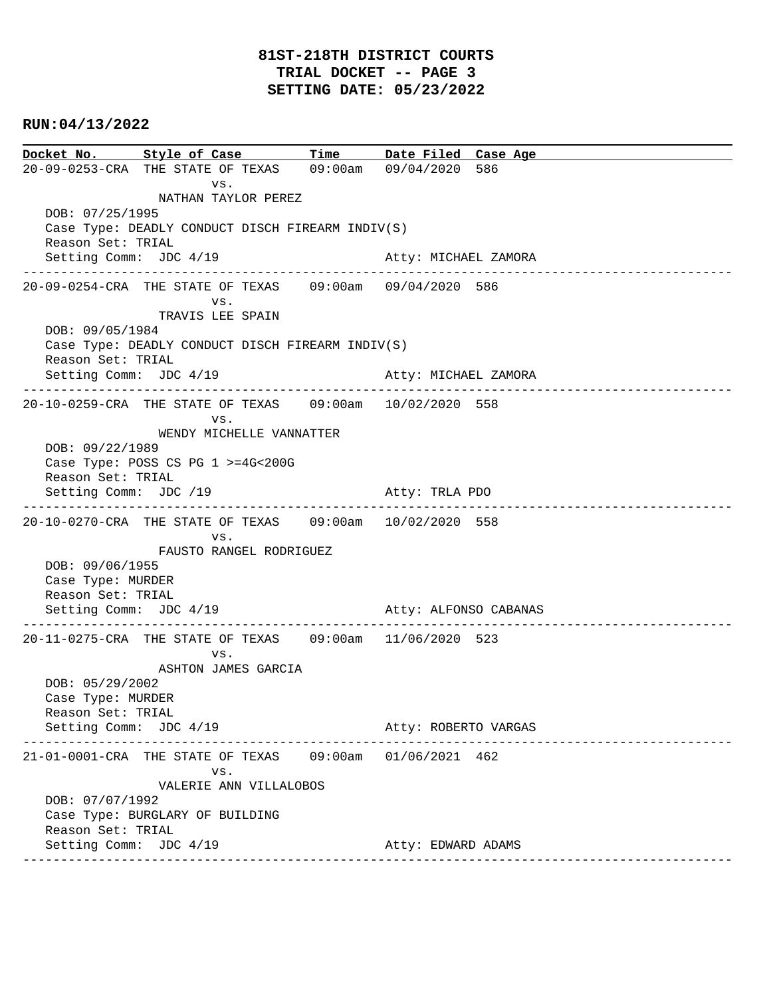**Docket No. Style of Case Time Date Filed Case Age**  20-09-0253-CRA THE STATE OF TEXAS 09:00am 09/04/2020 586 vs. NATHAN TAYLOR PEREZ DOB: 07/25/1995 Case Type: DEADLY CONDUCT DISCH FIREARM INDIV(S) Reason Set: TRIAL Setting Comm: JDC 4/19 Atty: MICHAEL ZAMORA ---------------------------------------------------------------------------------------------- 20-09-0254-CRA THE STATE OF TEXAS 09:00am 09/04/2020 586 vs. TRAVIS LEE SPAIN DOB: 09/05/1984 Case Type: DEADLY CONDUCT DISCH FIREARM INDIV(S) Reason Set: TRIAL Setting Comm: JDC 4/19 Atty: MICHAEL ZAMORA ---------------------------------------------------------------------------------------------- 20-10-0259-CRA THE STATE OF TEXAS 09:00am 10/02/2020 558 vs. WENDY MICHELLE VANNATTER DOB: 09/22/1989 Case Type: POSS CS PG 1 >=4G<200G Reason Set: TRIAL Setting Comm: JDC /19 Atty: TRLA PDO ---------------------------------------------------------------------------------------------- 20-10-0270-CRA THE STATE OF TEXAS 09:00am 10/02/2020 558 vs. FAUSTO RANGEL RODRIGUEZ DOB: 09/06/1955 Case Type: MURDER Reason Set: TRIAL Setting Comm: JDC 4/19 Atty: ALFONSO CABANAS ---------------------------------------------------------------------------------------------- 20-11-0275-CRA THE STATE OF TEXAS 09:00am 11/06/2020 523 vs. ASHTON JAMES GARCIA DOB: 05/29/2002 Case Type: MURDER Reason Set: TRIAL Setting Comm: JDC 4/19 Atty: ROBERTO VARGAS ---------------------------------------------------------------------------------------------- 21-01-0001-CRA THE STATE OF TEXAS 09:00am 01/06/2021 462 vs. VALERIE ANN VILLALOBOS DOB: 07/07/1992 Case Type: BURGLARY OF BUILDING Reason Set: TRIAL Setting Comm: JDC 4/19 Atty: EDWARD ADAMS ----------------------------------------------------------------------------------------------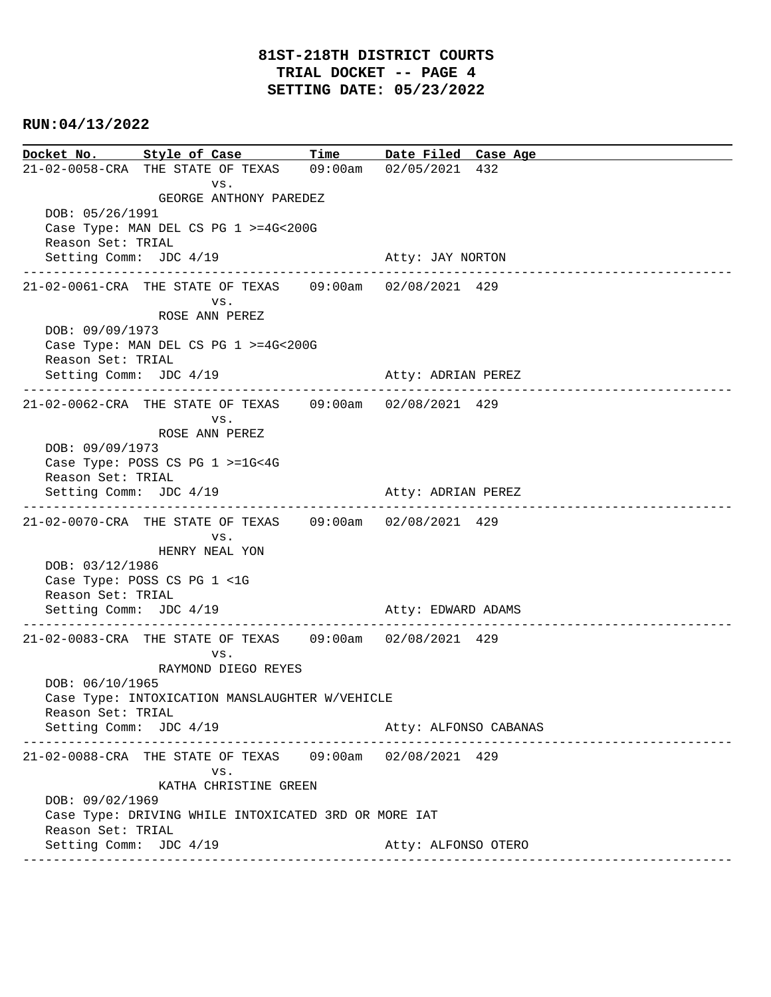**Docket No. Style of Case Time Date Filed Case Age**  21-02-0058-CRA THE STATE OF TEXAS 09:00am 02/05/2021 432 vs. GEORGE ANTHONY PAREDEZ DOB: 05/26/1991 Case Type: MAN DEL CS PG 1 >=4G<200G Reason Set: TRIAL Setting Comm: JDC 4/19 Atty: JAY NORTON ---------------------------------------------------------------------------------------------- 21-02-0061-CRA THE STATE OF TEXAS 09:00am 02/08/2021 429 vs. ROSE ANN PEREZ DOB: 09/09/1973 Case Type: MAN DEL CS PG 1 >=4G<200G Reason Set: TRIAL Setting Comm: JDC 4/19 Atty: ADRIAN PEREZ ---------------------------------------------------------------------------------------------- 21-02-0062-CRA THE STATE OF TEXAS 09:00am 02/08/2021 429 vs. ROSE ANN PEREZ DOB: 09/09/1973 Case Type: POSS CS PG 1 >=1G<4G Reason Set: TRIAL Setting Comm: JDC 4/19 Atty: ADRIAN PEREZ ---------------------------------------------------------------------------------------------- 21-02-0070-CRA THE STATE OF TEXAS 09:00am 02/08/2021 429 vs. HENRY NEAL YON DOB: 03/12/1986 Case Type: POSS CS PG 1 <1G Reason Set: TRIAL Setting Comm: JDC 4/19 Atty: EDWARD ADAMS ---------------------------------------------------------------------------------------------- 21-02-0083-CRA THE STATE OF TEXAS 09:00am 02/08/2021 429 vs. RAYMOND DIEGO REYES DOB: 06/10/1965 Case Type: INTOXICATION MANSLAUGHTER W/VEHICLE Reason Set: TRIAL Setting Comm: JDC 4/19 Atty: ALFONSO CABANAS ---------------------------------------------------------------------------------------------- 21-02-0088-CRA THE STATE OF TEXAS 09:00am 02/08/2021 429 vs. KATHA CHRISTINE GREEN DOB: 09/02/1969 Case Type: DRIVING WHILE INTOXICATED 3RD OR MORE IAT Reason Set: TRIAL Setting Comm: JDC 4/19 Atty: ALFONSO OTERO ----------------------------------------------------------------------------------------------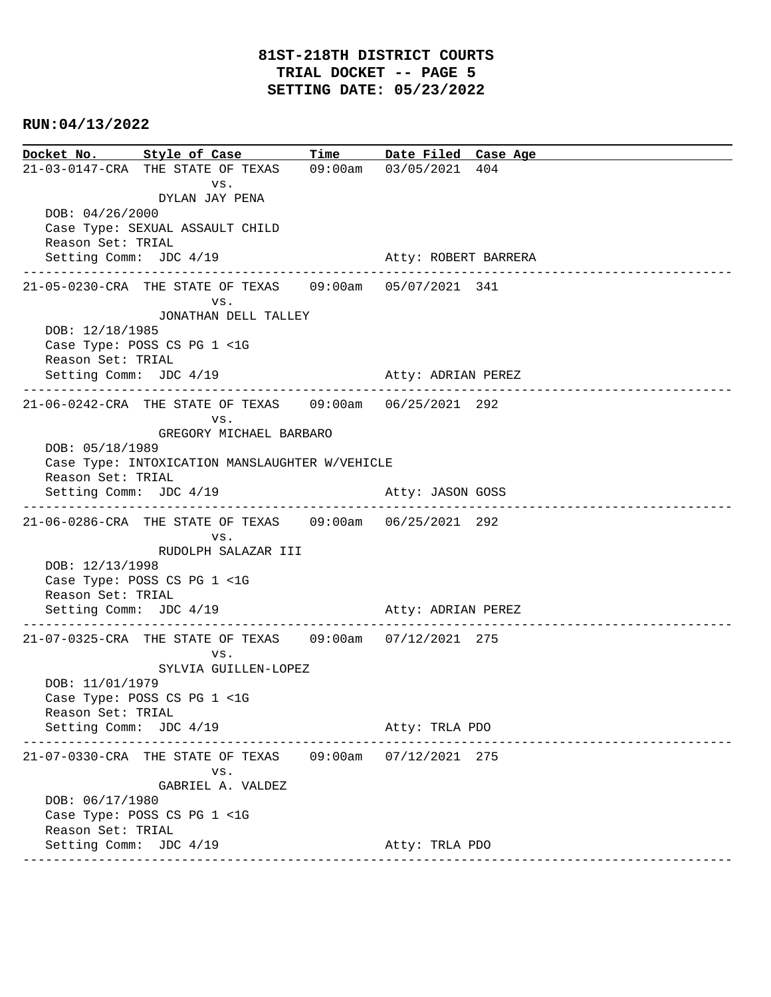**Docket No. Style of Case Time Date Filed Case Age**  21-03-0147-CRA THE STATE OF TEXAS 09:00am 03/05/2021 404 vs. DYLAN JAY PENA DOB: 04/26/2000 Case Type: SEXUAL ASSAULT CHILD Reason Set: TRIAL Setting Comm: JDC 4/19 Atty: ROBERT BARRERA ---------------------------------------------------------------------------------------------- 21-05-0230-CRA THE STATE OF TEXAS 09:00am 05/07/2021 341 vs. JONATHAN DELL TALLEY DOB: 12/18/1985 Case Type: POSS CS PG 1 <1G Reason Set: TRIAL Setting Comm: JDC 4/19 Atty: ADRIAN PEREZ ---------------------------------------------------------------------------------------------- 21-06-0242-CRA THE STATE OF TEXAS 09:00am 06/25/2021 292 vs. GREGORY MICHAEL BARBARO DOB: 05/18/1989 Case Type: INTOXICATION MANSLAUGHTER W/VEHICLE Reason Set: TRIAL Setting Comm: JDC 4/19 Atty: JASON GOSS ---------------------------------------------------------------------------------------------- 21-06-0286-CRA THE STATE OF TEXAS 09:00am 06/25/2021 292 vs. RUDOLPH SALAZAR III DOB: 12/13/1998 Case Type: POSS CS PG 1 <1G Reason Set: TRIAL Setting Comm: JDC 4/19 Atty: ADRIAN PEREZ ---------------------------------------------------------------------------------------------- 21-07-0325-CRA THE STATE OF TEXAS 09:00am 07/12/2021 275 vs. SYLVIA GUILLEN-LOPEZ DOB: 11/01/1979 Case Type: POSS CS PG 1 <1G Reason Set: TRIAL Setting Comm: JDC 4/19 Atty: TRLA PDO ---------------------------------------------------------------------------------------------- 21-07-0330-CRA THE STATE OF TEXAS 09:00am 07/12/2021 275 vs. GABRIEL A. VALDEZ DOB: 06/17/1980 Case Type: POSS CS PG 1 <1G Reason Set: TRIAL Setting Comm: JDC 4/19 Atty: TRLA PDO ----------------------------------------------------------------------------------------------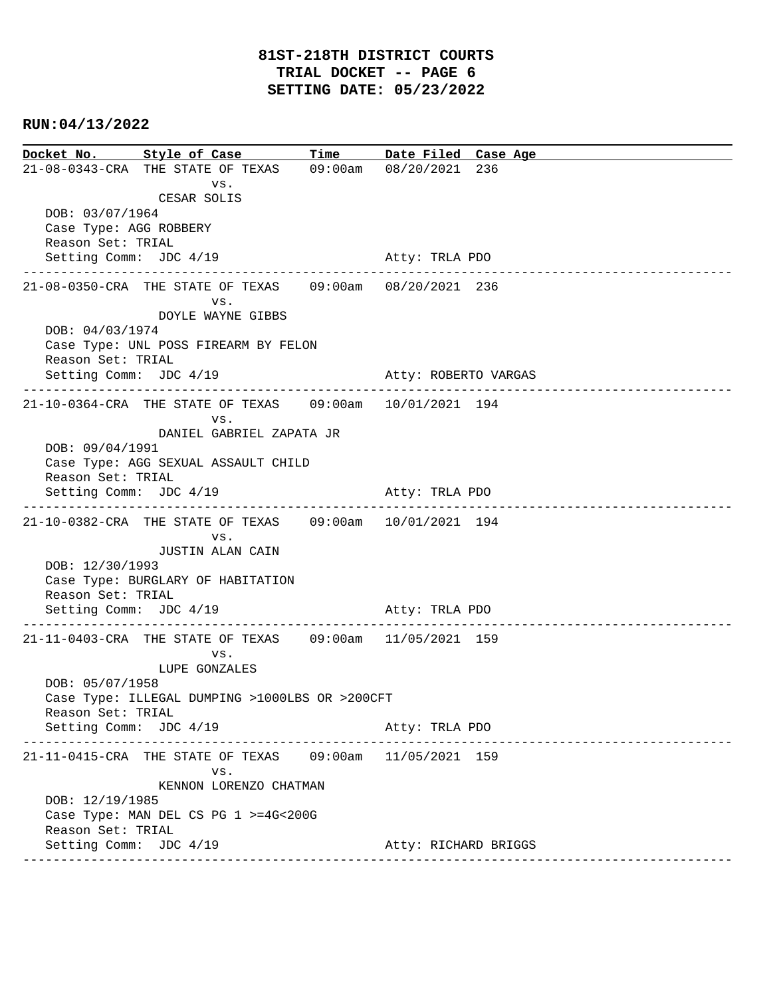**Docket No. Style of Case Time Date Filed Case Age**  21-08-0343-CRA THE STATE OF TEXAS 09:00am 08/20/2021 236 vs. CESAR SOLIS DOB: 03/07/1964 Case Type: AGG ROBBERY Reason Set: TRIAL Setting Comm: JDC 4/19 Atty: TRLA PDO ---------------------------------------------------------------------------------------------- 21-08-0350-CRA THE STATE OF TEXAS 09:00am 08/20/2021 236 vs. DOYLE WAYNE GIBBS DOB: 04/03/1974 Case Type: UNL POSS FIREARM BY FELON Reason Set: TRIAL Setting Comm: JDC 4/19 Atty: ROBERTO VARGAS ---------------------------------------------------------------------------------------------- 21-10-0364-CRA THE STATE OF TEXAS 09:00am 10/01/2021 194 vs. DANIEL GABRIEL ZAPATA JR DOB: 09/04/1991 Case Type: AGG SEXUAL ASSAULT CHILD Reason Set: TRIAL Setting Comm: JDC 4/19 Atty: TRLA PDO ---------------------------------------------------------------------------------------------- 21-10-0382-CRA THE STATE OF TEXAS 09:00am 10/01/2021 194 vs. JUSTIN ALAN CAIN DOB: 12/30/1993 Case Type: BURGLARY OF HABITATION Reason Set: TRIAL Setting Comm: JDC 4/19 Atty: TRLA PDO ---------------------------------------------------------------------------------------------- 21-11-0403-CRA THE STATE OF TEXAS 09:00am 11/05/2021 159 vs. LUPE GONZALES DOB: 05/07/1958 Case Type: ILLEGAL DUMPING >1000LBS OR >200CFT Reason Set: TRIAL Setting Comm: JDC 4/19 Atty: TRLA PDO ---------------------------------------------------------------------------------------------- 21-11-0415-CRA THE STATE OF TEXAS 09:00am 11/05/2021 159 vs. KENNON LORENZO CHATMAN DOB: 12/19/1985 Case Type: MAN DEL CS PG 1 >=4G<200G Reason Set: TRIAL Setting Comm: JDC 4/19 Atty: RICHARD BRIGGS ----------------------------------------------------------------------------------------------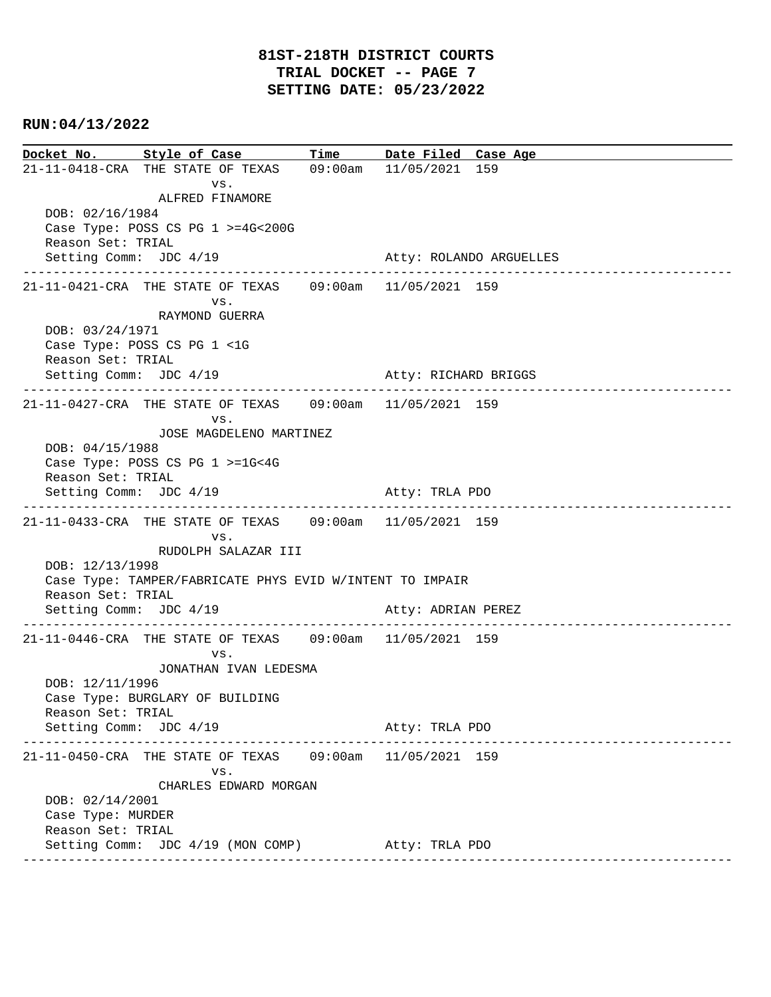**Docket No. Style of Case Time Date Filed Case Age**  21-11-0418-CRA THE STATE OF TEXAS 09:00am 11/05/2021 159 vs. ALFRED FINAMORE DOB: 02/16/1984 Case Type: POSS CS PG 1 >=4G<200G Reason Set: TRIAL Setting Comm: JDC 4/19 Atty: ROLANDO ARGUELLES ---------------------------------------------------------------------------------------------- 21-11-0421-CRA THE STATE OF TEXAS 09:00am 11/05/2021 159 vs. RAYMOND GUERRA DOB: 03/24/1971 Case Type: POSS CS PG 1 <1G Reason Set: TRIAL Setting Comm: JDC 4/19 Atty: RICHARD BRIGGS ---------------------------------------------------------------------------------------------- 21-11-0427-CRA THE STATE OF TEXAS 09:00am 11/05/2021 159 vs. JOSE MAGDELENO MARTINEZ DOB: 04/15/1988 Case Type: POSS CS PG 1 >=1G<4G Reason Set: TRIAL Setting Comm: JDC 4/19 Atty: TRLA PDO ---------------------------------------------------------------------------------------------- 21-11-0433-CRA THE STATE OF TEXAS 09:00am 11/05/2021 159 vs. RUDOLPH SALAZAR III DOB: 12/13/1998 Case Type: TAMPER/FABRICATE PHYS EVID W/INTENT TO IMPAIR Reason Set: TRIAL Setting Comm: JDC 4/19 Atty: ADRIAN PEREZ ---------------------------------------------------------------------------------------------- 21-11-0446-CRA THE STATE OF TEXAS 09:00am 11/05/2021 159 vs. JONATHAN IVAN LEDESMA DOB: 12/11/1996 Case Type: BURGLARY OF BUILDING Reason Set: TRIAL Setting Comm: JDC 4/19 Atty: TRLA PDO ---------------------------------------------------------------------------------------------- 21-11-0450-CRA THE STATE OF TEXAS 09:00am 11/05/2021 159 vs. CHARLES EDWARD MORGAN DOB: 02/14/2001 Case Type: MURDER Reason Set: TRIAL Setting Comm: JDC 4/19 (MON COMP) Atty: TRLA PDO ----------------------------------------------------------------------------------------------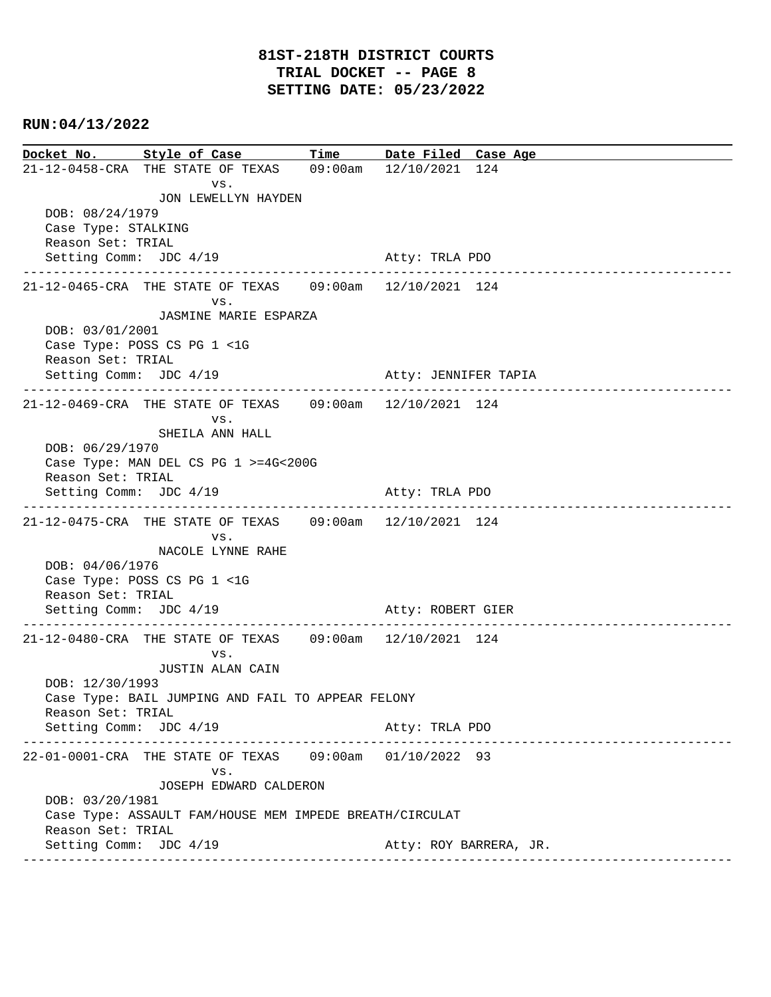**Docket No. Style of Case Time Date Filed Case Age**  21-12-0458-CRA THE STATE OF TEXAS 09:00am 12/10/2021 124 vs. JON LEWELLYN HAYDEN DOB: 08/24/1979 Case Type: STALKING Reason Set: TRIAL Setting Comm: JDC 4/19 Atty: TRLA PDO ---------------------------------------------------------------------------------------------- 21-12-0465-CRA THE STATE OF TEXAS 09:00am 12/10/2021 124 vs. JASMINE MARIE ESPARZA DOB: 03/01/2001 Case Type: POSS CS PG 1 <1G Reason Set: TRIAL Setting Comm: JDC 4/19 Atty: JENNIFER TAPIA ---------------------------------------------------------------------------------------------- 21-12-0469-CRA THE STATE OF TEXAS 09:00am 12/10/2021 124 vs. SHEILA ANN HALL DOB: 06/29/1970 Case Type: MAN DEL CS PG 1 >=4G<200G Reason Set: TRIAL Setting Comm: JDC 4/19 Atty: TRLA PDO ---------------------------------------------------------------------------------------------- 21-12-0475-CRA THE STATE OF TEXAS 09:00am 12/10/2021 124 vs. NACOLE LYNNE RAHE DOB: 04/06/1976 Case Type: POSS CS PG 1 <1G Reason Set: TRIAL Setting Comm: JDC 4/19 Atty: ROBERT GIER ---------------------------------------------------------------------------------------------- 21-12-0480-CRA THE STATE OF TEXAS 09:00am 12/10/2021 124 vs. JUSTIN ALAN CAIN DOB: 12/30/1993 Case Type: BAIL JUMPING AND FAIL TO APPEAR FELONY Reason Set: TRIAL Setting Comm: JDC 4/19 Atty: TRLA PDO ---------------------------------------------------------------------------------------------- 22-01-0001-CRA THE STATE OF TEXAS 09:00am 01/10/2022 93 vs. JOSEPH EDWARD CALDERON DOB: 03/20/1981 Case Type: ASSAULT FAM/HOUSE MEM IMPEDE BREATH/CIRCULAT Reason Set: TRIAL Setting Comm: JDC 4/19 Atty: ROY BARRERA, JR. ----------------------------------------------------------------------------------------------